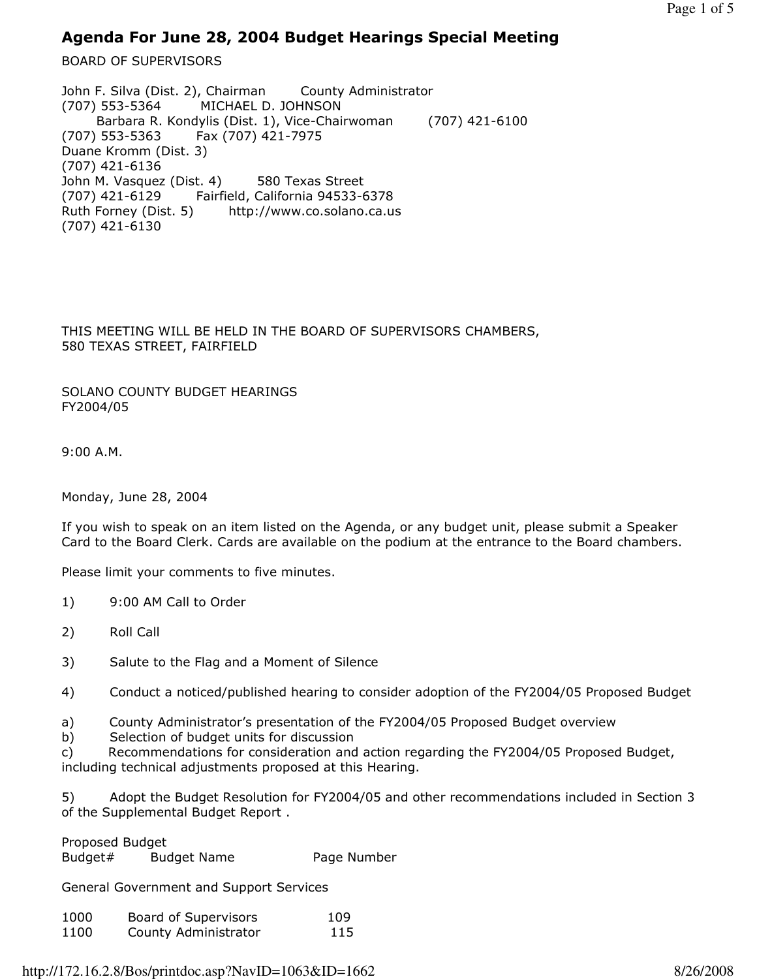## Agenda For June 28, 2004 Budget Hearings Special Meeting

BOARD OF SUPERVISORS

John F. Silva (Dist. 2), Chairman County Administrator (707) 553-5364 MICHAEL D. JOHNSON Barbara R. Kondylis (Dist. 1), Vice-Chairwoman (707) 421-6100 (707) 553-5363 Fax (707) 421-7975 Duane Kromm (Dist. 3) (707) 421-6136 John M. Vasquez (Dist. 4) 580 Texas Street (707) 421-6129 Fairfield, California 94533-6378 Ruth Forney (Dist. 5) http://www.co.solano.ca.us (707) 421-6130

THIS MEETING WILL BE HELD IN THE BOARD OF SUPERVISORS CHAMBERS, 580 TEXAS STREET, FAIRFIELD

SOLANO COUNTY BUDGET HEARINGS FY2004/05

9:00 A.M.

Monday, June 28, 2004

If you wish to speak on an item listed on the Agenda, or any budget unit, please submit a Speaker Card to the Board Clerk. Cards are available on the podium at the entrance to the Board chambers.

Please limit your comments to five minutes.

- 1) 9:00 AM Call to Order
- 2) Roll Call
- 3) Salute to the Flag and a Moment of Silence
- 4) Conduct a noticed/published hearing to consider adoption of the FY2004/05 Proposed Budget
- a) County Administrator's presentation of the FY2004/05 Proposed Budget overview
- b) Selection of budget units for discussion
- c) Recommendations for consideration and action regarding the FY2004/05 Proposed Budget, including technical adjustments proposed at this Hearing.

5) Adopt the Budget Resolution for FY2004/05 and other recommendations included in Section 3 of the Supplemental Budget Report .

Proposed Budget

Budget# Budget Name Page Number

General Government and Support Services

| 1000 | Board of Supervisors | 109 |
|------|----------------------|-----|
| 1100 | County Administrator | 115 |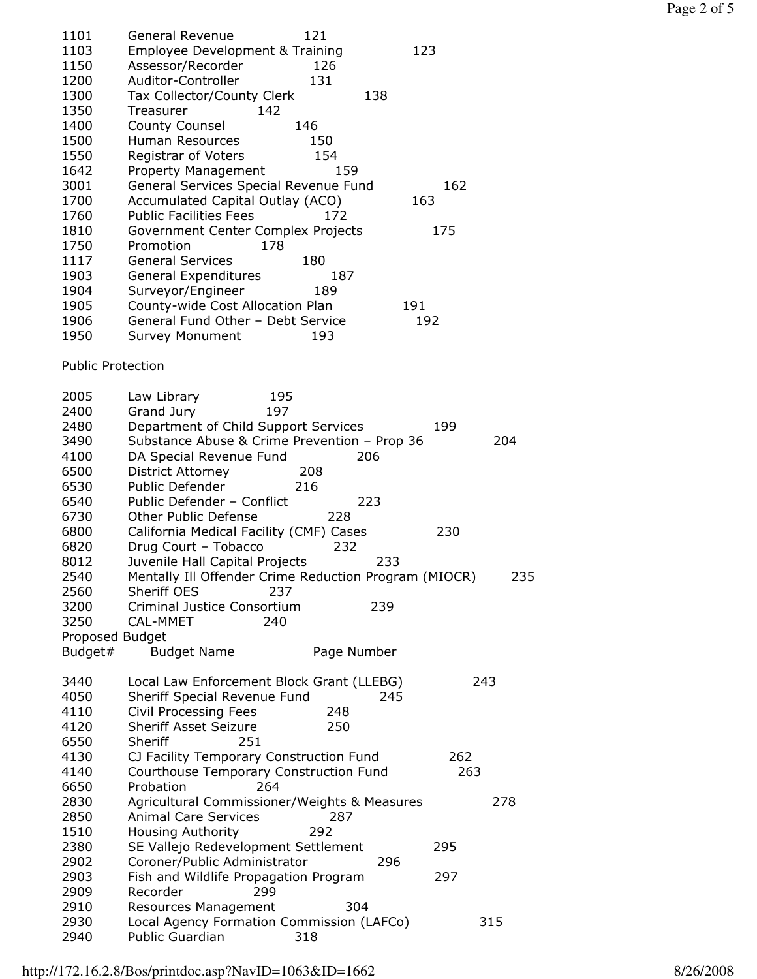| 1101                     | <b>General Revenue</b><br>121                                            |     |
|--------------------------|--------------------------------------------------------------------------|-----|
| 1103                     | Employee Development & Training<br>123                                   |     |
| 1150                     | Assessor/Recorder<br>126                                                 |     |
| 1200                     | Auditor-Controller<br>131                                                |     |
| 1300                     | Tax Collector/County Clerk<br>138                                        |     |
| 1350                     | 142<br>Treasurer                                                         |     |
| 1400                     | 146<br><b>County Counsel</b>                                             |     |
| 1500                     | Human Resources<br>150                                                   |     |
| 1550                     | Registrar of Voters<br>154                                               |     |
| 1642                     | 159<br>Property Management                                               |     |
| 3001                     | General Services Special Revenue Fund<br>162                             |     |
| 1700                     | Accumulated Capital Outlay (ACO)<br>163                                  |     |
| 1760                     | <b>Public Facilities Fees</b><br>172                                     |     |
| 1810                     | Government Center Complex Projects<br>175                                |     |
| 1750                     | Promotion<br>178                                                         |     |
| 1117                     | <b>General Services</b><br>180                                           |     |
| 1903                     | General Expenditures<br>187                                              |     |
| 1904                     | Surveyor/Engineer<br>189                                                 |     |
| 1905                     | County-wide Cost Allocation Plan<br>191                                  |     |
| 1906                     | General Fund Other - Debt Service<br>192                                 |     |
| 1950                     | <b>Survey Monument</b><br>193                                            |     |
|                          |                                                                          |     |
| <b>Public Protection</b> |                                                                          |     |
| 2005                     | Law Library<br>195                                                       |     |
| 2400                     | Grand Jury<br>197                                                        |     |
| 2480                     | Department of Child Support Services<br>199                              |     |
| 3490                     | Substance Abuse & Crime Prevention - Prop 36<br>204                      |     |
| 4100                     | DA Special Revenue Fund<br>206                                           |     |
| 6500                     | <b>District Attorney</b><br>208                                          |     |
| 6530                     | Public Defender<br>216                                                   |     |
| 6540                     | Public Defender - Conflict<br>223                                        |     |
| 6730                     | Other Public Defense<br>228                                              |     |
| 6800                     | California Medical Facility (CMF) Cases<br>230                           |     |
| 6820                     | Drug Court - Tobacco<br>232                                              |     |
| 8012                     | Juvenile Hall Capital Projects<br>233                                    |     |
| 2540                     | Mentally Ill Offender Crime Reduction Program (MIOCR)                    | 235 |
| 2560                     | Sheriff OES<br>237                                                       |     |
| 3200                     | Criminal Justice Consortium<br>239                                       |     |
| 3250                     | CAL-MMET<br>240                                                          |     |
| Proposed Budget          |                                                                          |     |
| Budget#                  | <b>Budget Name</b><br>Page Number                                        |     |
|                          |                                                                          |     |
| 3440                     | 243<br>Local Law Enforcement Block Grant (LLEBG)                         |     |
| 4050                     | Sheriff Special Revenue Fund<br>245                                      |     |
| 4110                     | Civil Processing Fees<br>248                                             |     |
| 4120                     | <b>Sheriff Asset Seizure</b><br>250                                      |     |
| 6550                     | Sheriff<br>251                                                           |     |
| 4130                     | CJ Facility Temporary Construction Fund<br>262                           |     |
| 4140                     | Courthouse Temporary Construction Fund<br>263                            |     |
| 6650                     | Probation<br>264                                                         |     |
| 2830                     | Agricultural Commissioner/Weights & Measures<br>278                      |     |
| 2850                     | <b>Animal Care Services</b><br>287                                       |     |
| 1510                     | <b>Housing Authority</b><br>292                                          |     |
| 2380                     | SE Vallejo Redevelopment Settlement<br>295                               |     |
| 2902                     | Coroner/Public Administrator<br>296                                      |     |
| 2903                     | Fish and Wildlife Propagation Program<br>297                             |     |
| 2909                     | Recorder<br>299                                                          |     |
| 2910                     | 304                                                                      |     |
| 2930                     | Resources Management<br>Local Agency Formation Commission (LAFCo)<br>315 |     |
| 2940                     | 318<br><b>Public Guardian</b>                                            |     |
|                          |                                                                          |     |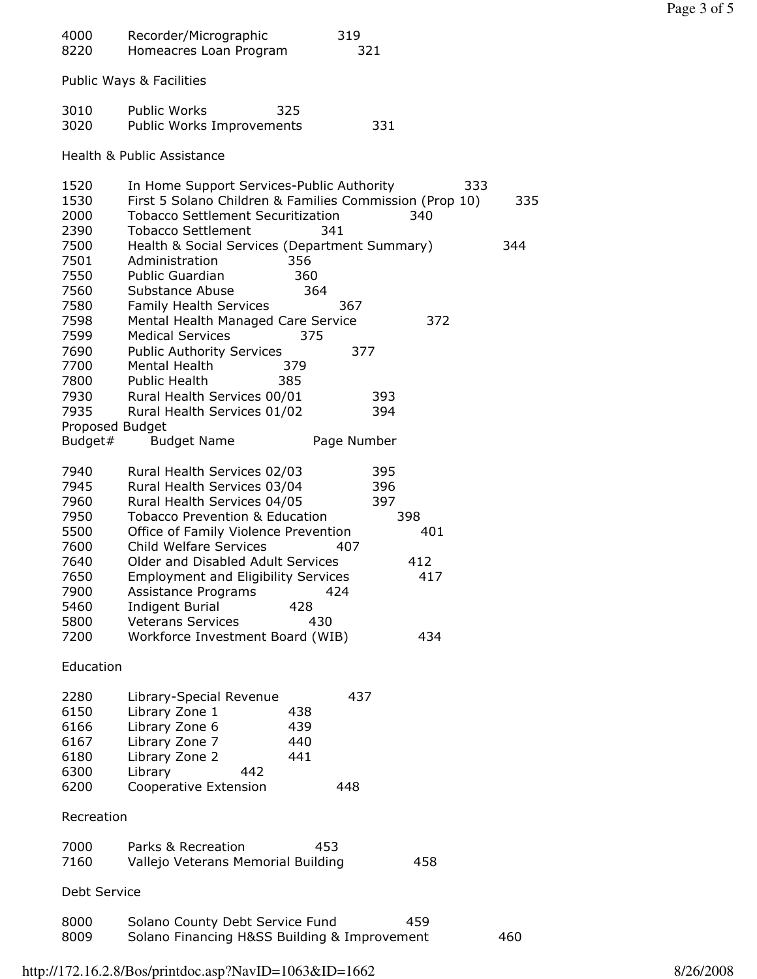| 4000<br>8220                                         | Recorder/Micrographic<br>Homeacres Loan Program                                                                                                                               | 319<br>321               |     |  |
|------------------------------------------------------|-------------------------------------------------------------------------------------------------------------------------------------------------------------------------------|--------------------------|-----|--|
| Public Ways & Facilities                             |                                                                                                                                                                               |                          |     |  |
| 3010<br>3020                                         | <b>Public Works</b><br>325<br>Public Works Improvements                                                                                                                       | 331                      |     |  |
|                                                      | Health & Public Assistance                                                                                                                                                    |                          |     |  |
| 1520<br>1530<br>2000<br>2390                         | In Home Support Services-Public Authority<br>First 5 Solano Children & Families Commission (Prop 10)<br><b>Tobacco Settlement Securitization</b><br><b>Tobacco Settlement</b> | 333<br>340<br>341        | 335 |  |
| 7500<br>7501<br>7550<br>7560<br>7580                 | Health & Social Services (Department Summary)<br>Administration<br>356<br>360<br>Public Guardian<br>Substance Abuse<br>364<br>Family Health Services                          | 367                      | 344 |  |
| 7598<br>7599<br>7690<br>7700                         | Mental Health Managed Care Service<br><b>Medical Services</b><br>375<br><b>Public Authority Services</b><br>Mental Health<br>379                                              | 372<br>377               |     |  |
| 7800<br>7930<br>7935<br>Proposed Budget              | Public Health<br>385<br>Rural Health Services 00/01<br>Rural Health Services 01/02                                                                                            | 393<br>394               |     |  |
| Budget#                                              | <b>Budget Name</b>                                                                                                                                                            | Page Number              |     |  |
| 7940<br>7945<br>7960<br>7950                         | Rural Health Services 02/03<br>Rural Health Services 03/04<br>Rural Health Services 04/05<br><b>Tobacco Prevention &amp; Education</b>                                        | 395<br>396<br>397<br>398 |     |  |
| 5500<br>7600                                         | Office of Family Violence Prevention<br><b>Child Welfare Services</b>                                                                                                         | 401<br>407               |     |  |
| 7640<br>7650<br>7900<br>5460<br>5800                 | Older and Disabled Adult Services<br><b>Employment and Eligibility Services</b><br>Assistance Programs<br><b>Indigent Burial</b><br>428<br><b>Veterans Services</b><br>430    | 412<br>417<br>424        |     |  |
| 7200                                                 | Workforce Investment Board (WIB)                                                                                                                                              | 434                      |     |  |
| Education                                            |                                                                                                                                                                               |                          |     |  |
| 2280<br>6150<br>6166<br>6167<br>6180<br>6300<br>6200 | Library-Special Revenue<br>Library Zone 1<br>438<br>Library Zone 6<br>439<br>Library Zone 7<br>440<br>Library Zone 2<br>441<br>Library<br>442<br>Cooperative Extension        | 437<br>448               |     |  |
| Recreation                                           |                                                                                                                                                                               |                          |     |  |
| 7000<br>7160                                         | Parks & Recreation<br>453<br>Vallejo Veterans Memorial Building                                                                                                               | 458                      |     |  |
| Debt Service                                         |                                                                                                                                                                               |                          |     |  |
| 8000<br>8009                                         | Solano County Debt Service Fund<br>Solano Financing H&SS Building & Improvement                                                                                               | 459                      | 460 |  |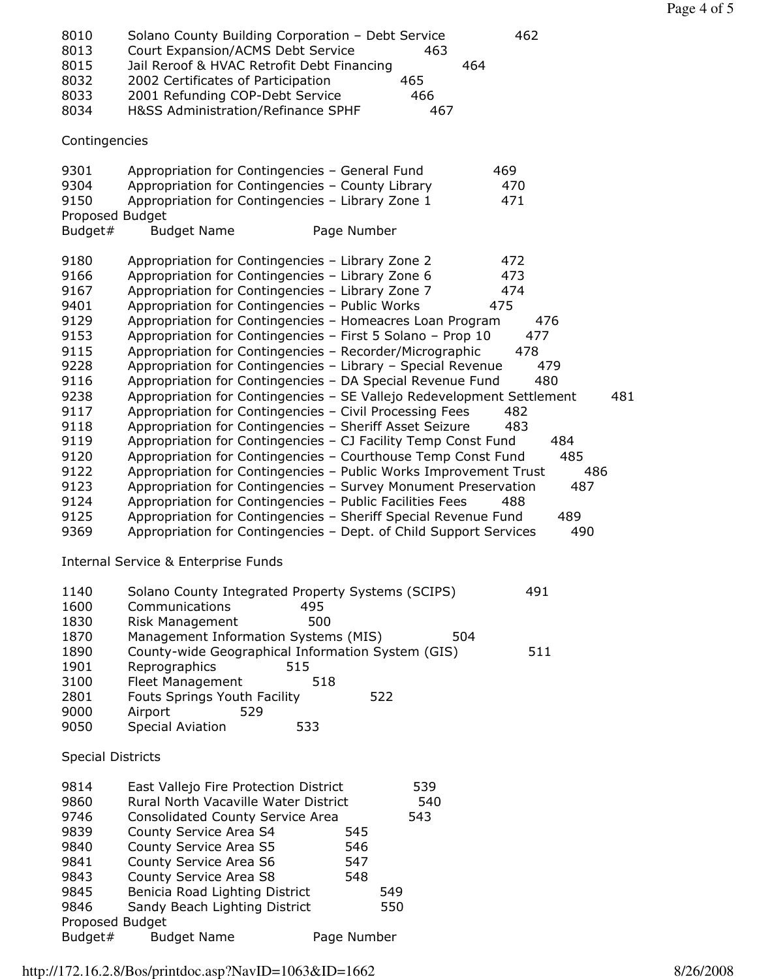Page 4 of 5

| 8010<br>8013<br>8015<br>8032<br>8033<br>8034                                                                                                         | Solano County Building Corporation - Debt Service<br>462<br>Court Expansion/ACMS Debt Service<br>463<br>Jail Reroof & HVAC Retrofit Debt Financing<br>464<br>2002 Certificates of Participation<br>465<br>2001 Refunding COP-Debt Service<br>466<br>H&SS Administration/Refinance SPHF<br>467                                                                                                                                                                                                                                                                                                                                                                                                                                                                                                                                                                                                                                                                                                                                                                                                                                                                                                                                                                                                                                             |
|------------------------------------------------------------------------------------------------------------------------------------------------------|-------------------------------------------------------------------------------------------------------------------------------------------------------------------------------------------------------------------------------------------------------------------------------------------------------------------------------------------------------------------------------------------------------------------------------------------------------------------------------------------------------------------------------------------------------------------------------------------------------------------------------------------------------------------------------------------------------------------------------------------------------------------------------------------------------------------------------------------------------------------------------------------------------------------------------------------------------------------------------------------------------------------------------------------------------------------------------------------------------------------------------------------------------------------------------------------------------------------------------------------------------------------------------------------------------------------------------------------|
| Contingencies                                                                                                                                        |                                                                                                                                                                                                                                                                                                                                                                                                                                                                                                                                                                                                                                                                                                                                                                                                                                                                                                                                                                                                                                                                                                                                                                                                                                                                                                                                           |
| 9301<br>9304<br>9150<br>Proposed Budget<br>Budget#                                                                                                   | 469<br>Appropriation for Contingencies - General Fund<br>Appropriation for Contingencies - County Library<br>470<br>Appropriation for Contingencies - Library Zone 1<br>471<br><b>Budget Name</b><br>Page Number                                                                                                                                                                                                                                                                                                                                                                                                                                                                                                                                                                                                                                                                                                                                                                                                                                                                                                                                                                                                                                                                                                                          |
| 9180<br>9166<br>9167<br>9401<br>9129<br>9153<br>9115<br>9228<br>9116<br>9238<br>9117<br>9118<br>9119<br>9120<br>9122<br>9123<br>9124<br>9125<br>9369 | Appropriation for Contingencies - Library Zone 2<br>472<br>Appropriation for Contingencies - Library Zone 6<br>473<br>Appropriation for Contingencies - Library Zone 7<br>474<br>Appropriation for Contingencies - Public Works<br>475<br>Appropriation for Contingencies - Homeacres Loan Program<br>476<br>Appropriation for Contingencies - First 5 Solano - Prop 10<br>477<br>Appropriation for Contingencies - Recorder/Micrographic<br>478<br>Appropriation for Contingencies - Library - Special Revenue<br>479<br>Appropriation for Contingencies - DA Special Revenue Fund<br>480<br>Appropriation for Contingencies - SE Vallejo Redevelopment Settlement<br>481<br>Appropriation for Contingencies - Civil Processing Fees<br>482<br>Appropriation for Contingencies - Sheriff Asset Seizure<br>483<br>Appropriation for Contingencies - CJ Facility Temp Const Fund<br>484<br>485<br>Appropriation for Contingencies - Courthouse Temp Const Fund<br>Appropriation for Contingencies - Public Works Improvement Trust<br>486<br>Appropriation for Contingencies - Survey Monument Preservation<br>487<br>Appropriation for Contingencies - Public Facilities Fees<br>488<br>Appropriation for Contingencies - Sheriff Special Revenue Fund<br>489<br>Appropriation for Contingencies - Dept. of Child Support Services<br>490 |
|                                                                                                                                                      | <b>Internal Service &amp; Enterprise Funds</b>                                                                                                                                                                                                                                                                                                                                                                                                                                                                                                                                                                                                                                                                                                                                                                                                                                                                                                                                                                                                                                                                                                                                                                                                                                                                                            |
| 1140<br>1600<br>1830                                                                                                                                 | 491<br>Solano County Integrated Property Systems (SCIPS)<br>Communications<br>495<br>500<br>Risk Management                                                                                                                                                                                                                                                                                                                                                                                                                                                                                                                                                                                                                                                                                                                                                                                                                                                                                                                                                                                                                                                                                                                                                                                                                               |
| 1870<br>1890<br>1901<br>3100<br>2801<br>9000<br>9050                                                                                                 | Management Information Systems (MIS)<br>504<br>County-wide Geographical Information System (GIS)<br>511<br>Reprographics<br>515<br>518<br><b>Fleet Management</b><br><b>Fouts Springs Youth Facility</b><br>522<br>Airport<br>529<br><b>Special Aviation</b><br>533                                                                                                                                                                                                                                                                                                                                                                                                                                                                                                                                                                                                                                                                                                                                                                                                                                                                                                                                                                                                                                                                       |
| <b>Special Districts</b>                                                                                                                             |                                                                                                                                                                                                                                                                                                                                                                                                                                                                                                                                                                                                                                                                                                                                                                                                                                                                                                                                                                                                                                                                                                                                                                                                                                                                                                                                           |
| 9814<br>9860<br>9746<br>9839<br>9840<br>9841<br>9843<br>9845<br>9846<br>Proposed Budget                                                              | East Vallejo Fire Protection District<br>539<br>Rural North Vacaville Water District<br>540<br><b>Consolidated County Service Area</b><br>543<br>County Service Area S4<br>545<br>County Service Area S5<br>546<br>County Service Area S6<br>547<br>County Service Area S8<br>548<br>Benicia Road Lighting District<br>549<br>Sandy Beach Lighting District<br>550                                                                                                                                                                                                                                                                                                                                                                                                                                                                                                                                                                                                                                                                                                                                                                                                                                                                                                                                                                        |
| Budget#                                                                                                                                              | Page Number<br><b>Budget Name</b>                                                                                                                                                                                                                                                                                                                                                                                                                                                                                                                                                                                                                                                                                                                                                                                                                                                                                                                                                                                                                                                                                                                                                                                                                                                                                                         |